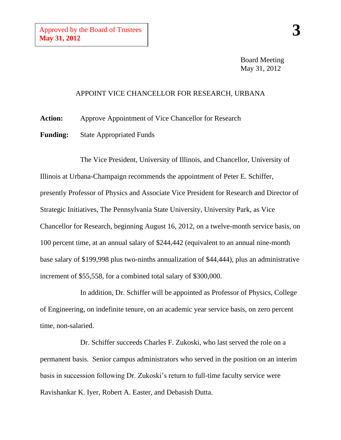Board Meeting May 31, 2012

## APPOINT VICE CHANCELLOR FOR RESEARCH, URBANA

**Action:** Approve Appointment of Vice Chancellor for Research

**Funding:** State Appropriated Funds

The Vice President, University of Illinois, and Chancellor, University of Illinois at Urbana-Champaign recommends the appointment of Peter E. Schiffer, presently Professor of Physics and Associate Vice President for Research and Director of Strategic Initiatives, The Pennsylvania State University, University Park, as Vice Chancellor for Research, beginning August 16, 2012, on a twelve-month service basis, on 100 percent time, at an annual salary of \$244,442 (equivalent to an annual nine-month base salary of \$199,998 plus two-ninths annualization of \$44,444), plus an administrative increment of \$55,558, for a combined total salary of \$300,000.

In addition, Dr. Schiffer will be appointed as Professor of Physics, College of Engineering, on indefinite tenure, on an academic year service basis, on zero percent time, non-salaried.

Dr. Schiffer succeeds Charles F. Zukoski, who last served the role on a permanent basis. Senior campus administrators who served in the position on an interim basis in succession following Dr. Zukoski's return to full-time faculty service were Ravishankar K. Iyer, Robert A. Easter, and Debasish Dutta.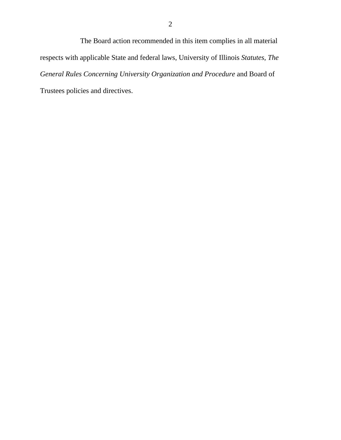The Board action recommended in this item complies in all material respects with applicable State and federal laws, University of Illinois *Statutes*, *The General Rules Concerning University Organization and Procedure* and Board of Trustees policies and directives.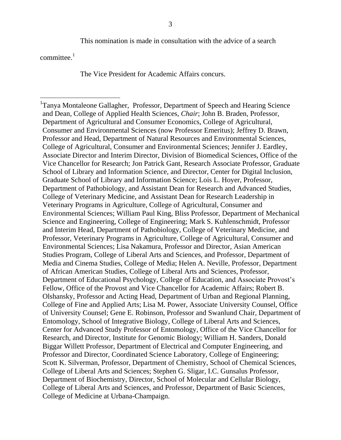This nomination is made in consultation with the advice of a search

committee. $<sup>1</sup>$ </sup>

 $\overline{a}$ 

The Vice President for Academic Affairs concurs.

<sup>&</sup>lt;sup>1</sup>Tanya Montaleone Gallagher, Professor, Department of Speech and Hearing Science and Dean, College of Applied Health Sciences, *Chair*; John B. Braden, Professor, Department of Agricultural and Consumer Economics, College of Agricultural, Consumer and Environmental Sciences (now Professor Emeritus); Jeffrey D. Brawn, Professor and Head, Department of Natural Resources and Environmental Sciences, College of Agricultural, Consumer and Environmental Sciences; Jennifer J. Eardley, Associate Director and Interim Director, Division of Biomedical Sciences, Office of the Vice Chancellor for Research; Jon Patrick Gant, Research Associate Professor, Graduate School of Library and Information Science, and Director, Center for Digital Inclusion, Graduate School of Library and Information Science; Lois L. Hoyer, Professor, Department of Pathobiology, and Assistant Dean for Research and Advanced Studies, College of Veterinary Medicine, and Assistant Dean for Research Leadership in Veterinary Programs in Agriculture, College of Agricultural, Consumer and Environmental Sciences; William Paul King, Bliss Professor, Department of Mechanical Science and Engineering, College of Engineering; Mark S. Kuhlenschmidt, Professor and Interim Head, Department of Pathobiology, College of Veterinary Medicine, and Professor, Veterinary Programs in Agriculture, College of Agricultural, Consumer and Environmental Sciences; Lisa Nakamura, Professor and Director, Asian American Studies Program, College of Liberal Arts and Sciences, and Professor, Department of Media and Cinema Studies, College of Media; Helen A. Neville, Professor, Department of African American Studies, College of Liberal Arts and Sciences, Professor, Department of Educational Psychology, College of Education, and Associate Provost's Fellow, Office of the Provost and Vice Chancellor for Academic Affairs; Robert B. Olshansky, Professor and Acting Head, Department of Urban and Regional Planning, College of Fine and Applied Arts; Lisa M. Power, Associate University Counsel, Office of University Counsel; Gene E. Robinson, Professor and Swanlund Chair, Department of Entomology, School of Integrative Biology, College of Liberal Arts and Sciences, Center for Advanced Study Professor of Entomology, Office of the Vice Chancellor for Research, and Director, Institute for Genomic Biology; William H. Sanders, Donald Biggar Willett Professor, Department of Electrical and Computer Engineering, and Professor and Director, Coordinated Science Laboratory, College of Engineering; Scott K. Silverman, Professor, Department of Chemistry, School of Chemical Sciences, College of Liberal Arts and Sciences; Stephen G. Sligar, I.C. Gunsalus Professor, Department of Biochemistry, Director, School of Molecular and Cellular Biology, College of Liberal Arts and Sciences, and Professor, Department of Basic Sciences, College of Medicine at Urbana-Champaign.